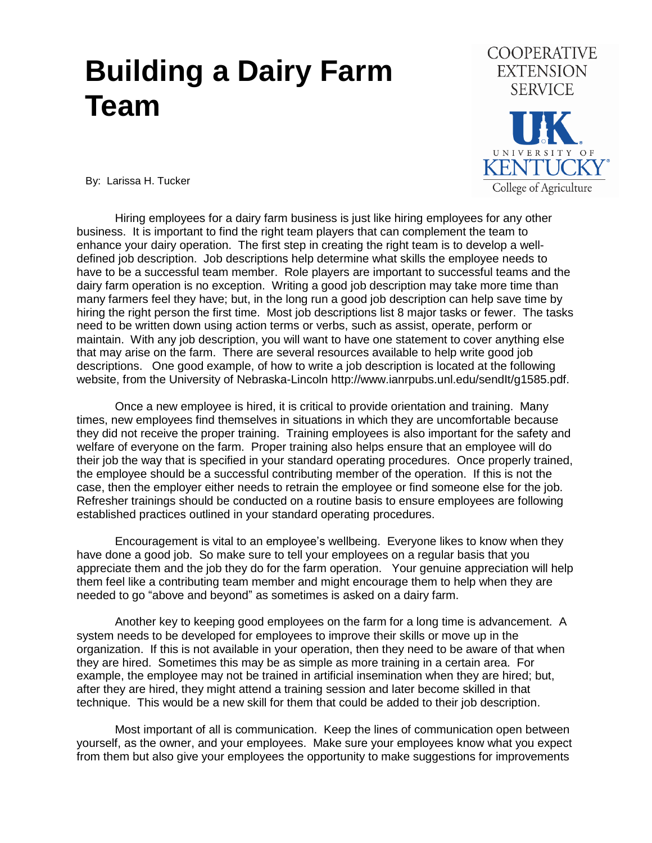## **Building a Dairy Farm Team**



By: Larissa H. Tucker

Hiring employees for a dairy farm business is just like hiring employees for any other business. It is important to find the right team players that can complement the team to enhance your dairy operation. The first step in creating the right team is to develop a welldefined job description. Job descriptions help determine what skills the employee needs to have to be a successful team member. Role players are important to successful teams and the dairy farm operation is no exception. Writing a good job description may take more time than many farmers feel they have; but, in the long run a good job description can help save time by hiring the right person the first time. Most job descriptions list 8 major tasks or fewer. The tasks need to be written down using action terms or verbs, such as assist, operate, perform or maintain. With any job description, you will want to have one statement to cover anything else that may arise on the farm. There are several resources available to help write good job descriptions. One good example, of how to write a job description is located at the following website, from the University of Nebraska-Lincoln http://www.ianrpubs.unl.edu/sendIt/g1585.pdf.

Once a new employee is hired, it is critical to provide orientation and training. Many times, new employees find themselves in situations in which they are uncomfortable because they did not receive the proper training. Training employees is also important for the safety and welfare of everyone on the farm. Proper training also helps ensure that an employee will do their job the way that is specified in your standard operating procedures. Once properly trained, the employee should be a successful contributing member of the operation. If this is not the case, then the employer either needs to retrain the employee or find someone else for the job. Refresher trainings should be conducted on a routine basis to ensure employees are following established practices outlined in your standard operating procedures.

Encouragement is vital to an employee's wellbeing. Everyone likes to know when they have done a good job. So make sure to tell your employees on a regular basis that you appreciate them and the job they do for the farm operation. Your genuine appreciation will help them feel like a contributing team member and might encourage them to help when they are needed to go "above and beyond" as sometimes is asked on a dairy farm.

Another key to keeping good employees on the farm for a long time is advancement. A system needs to be developed for employees to improve their skills or move up in the organization. If this is not available in your operation, then they need to be aware of that when they are hired. Sometimes this may be as simple as more training in a certain area. For example, the employee may not be trained in artificial insemination when they are hired; but, after they are hired, they might attend a training session and later become skilled in that technique. This would be a new skill for them that could be added to their job description.

Most important of all is communication. Keep the lines of communication open between yourself, as the owner, and your employees. Make sure your employees know what you expect from them but also give your employees the opportunity to make suggestions for improvements